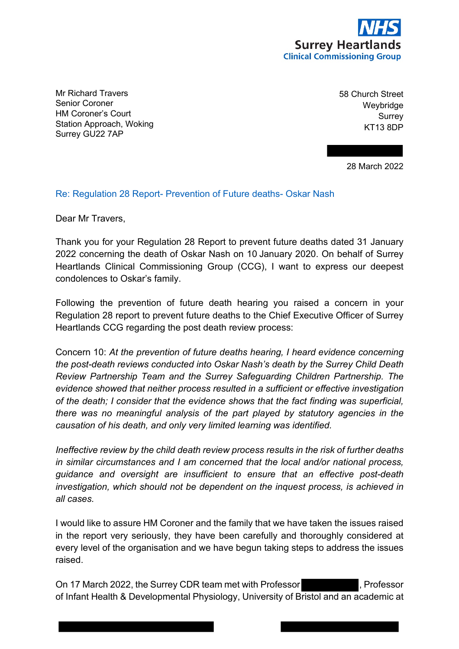

Mr Richard Travers Senior Coroner HM Coroner's Court Station Approach, Woking Surrey GU22 7AP

58 Church Street Weybridge **Surrey** KT13 8DP

28 March 2022

## Re: Regulation 28 Report- Prevention of Future deaths- Oskar Nash

Dear Mr Travers,

Thank you for your Regulation 28 Report to prevent future deaths dated 31 January 2022 concerning the death of Oskar Nash on 10 January 2020. On behalf of Surrey Heartlands Clinical Commissioning Group (CCG), I want to express our deepest condolences to Oskar's family.

Following the prevention of future death hearing you raised a concern in your Regulation 28 report to prevent future deaths to the Chief Executive Officer of Surrey Heartlands CCG regarding the post death review process:

Concern 10: *At the prevention of future deaths hearing, I heard evidence concerning the post-death reviews conducted into Oskar Nash's death by the Surrey Child Death Review Partnership Team and the Surrey Safeguarding Children Partnership. The evidence showed that neither process resulted in a sufficient or effective investigation of the death; I consider that the evidence shows that the fact finding was superficial, there was no meaningful analysis of the part played by statutory agencies in the causation of his death, and only very limited learning was identified.*

*Ineffective review by the child death review process results in the risk of further deaths in similar circumstances and I am concerned that the local and/or national process, guidance and oversight are insufficient to ensure that an effective post-death investigation, which should not be dependent on the inquest process, is achieved in all cases.*

I would like to assure HM Coroner and the family that we have taken the issues raised in the report very seriously, they have been carefully and thoroughly considered at every level of the organisation and we have begun taking steps to address the issues raised.

On 17 March 2022, the Surrey CDR team met with Professor , Professor of Infant Health & Developmental Physiology, University of Bristol and an academic at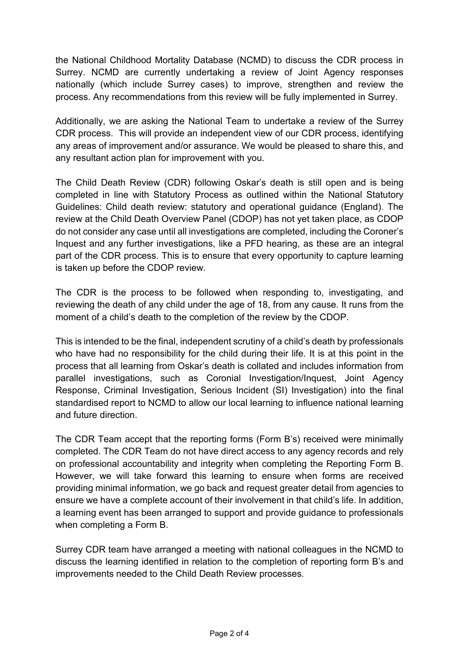the National Childhood Mortality Database (NCMD) to discuss the CDR process in Surrey. NCMD are currently undertaking a review of Joint Agency responses nationally (which include Surrey cases) to improve, strengthen and review the process. Any recommendations from this review will be fully implemented in Surrey.

Additionally, we are asking the National Team to undertake a review of the Surrey CDR process. This will provide an independent view of our CDR process, identifying any areas of improvement and/or assurance. We would be pleased to share this, and any resultant action plan for improvement with you.

The Child Death Review (CDR) following Oskar's death is still open and is being completed in line with Statutory Process as outlined within the National Statutory Guidelines: [Child death review: statutory and operational guidance \(England\).](https://www.gov.uk/government/publications/child-death-review-statutory-and-operational-guidance-england) The review at the Child Death Overview Panel (CDOP) has not yet taken place, as CDOP do not consider any case until all investigations are completed, including the Coroner's Inquest and any further investigations, like a PFD hearing, as these are an integral part of the CDR process. This is to ensure that every opportunity to capture learning is taken up before the CDOP review.

The CDR is the process to be followed when responding to, investigating, and reviewing the death of any child under the age of 18, from any cause. It runs from the moment of a child's death to the completion of the review by the CDOP.

This is intended to be the final, independent scrutiny of a child's death by professionals who have had no responsibility for the child during their life. It is at this point in the process that all learning from Oskar's death is collated and includes information from parallel investigations, such as Coronial Investigation/Inquest, Joint Agency Response, Criminal Investigation, Serious Incident (SI) Investigation) into the final standardised report to NCMD to allow our local learning to influence national learning and future direction.

The CDR Team accept that the reporting forms (Form B's) received were minimally completed. The CDR Team do not have direct access to any agency records and rely on professional accountability and integrity when completing the Reporting Form B. However, we will take forward this learning to ensure when forms are received providing minimal information, we go back and request greater detail from agencies to ensure we have a complete account of their involvement in that child's life. In addition, a learning event has been arranged to support and provide guidance to professionals when completing a Form B.

Surrey CDR team have arranged a meeting with national colleagues in the NCMD to discuss the learning identified in relation to the completion of reporting form B's and improvements needed to the Child Death Review processes.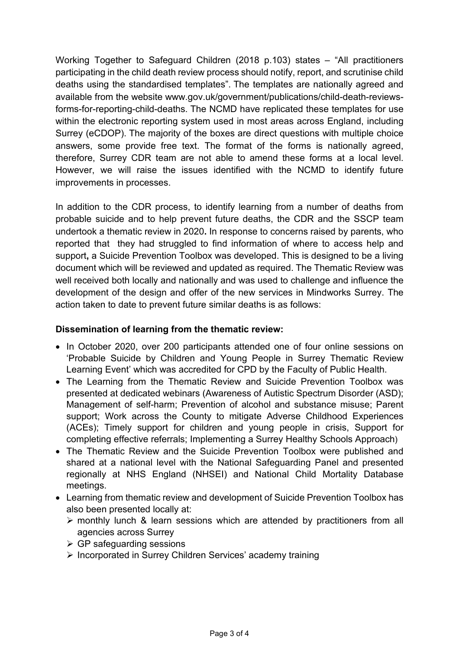[Working Together to Safeguard Children](https://www.gov.uk/government/publications/working-together-to-safeguard-children--2) (2018 p.103) states – "All practitioners participating in the child death review process should notify, report, and scrutinise child deaths using the standardised templates". The templates are nationally agreed and available from the website [www.gov.uk/government/publications/child-death-reviews](http://www.gov.uk/government/publications/child-death-reviews-forms-for-reporting-child-deaths)[forms-for-reporting-child-deaths.](http://www.gov.uk/government/publications/child-death-reviews-forms-for-reporting-child-deaths) The NCMD have replicated these templates for use within the electronic reporting system used in most areas across England, including Surrey (eCDOP). The majority of the boxes are direct questions with multiple choice answers, some provide free text. The format of the forms is nationally agreed, therefore, Surrey CDR team are not able to amend these forms at a local level. However, we will raise the issues identified with the NCMD to identify future improvements in processes.

In addition to the CDR process, to identify learning from a number of deaths from probable suicide and to help prevent future deaths, the CDR and the SSCP team undertook a [thematic](https://www.surreyscp.org.uk/wp-content/uploads/2021/04/Thematic-Review-of-Adolescent-Suicide-FINAL-Dec-2020.pdf) review in 2020**.** In response to concerns raised by parents, who reported that they had struggled to find information of where to access help and support**,** a [Suicide Prevention Toolbox](https://www.surreyscp.org.uk/wp-content/uploads/2022/01/Surrey-Safeuarding-Partnership-Toolbox-V14-December-2021.pdf) was developed. This is designed to be a living document which will be reviewed and updated as required. The Thematic Review was well received both locally and nationally and was used to challenge and influence the development of the design and offer of the new services in Mindworks Surrey. The action taken to date to prevent future similar deaths is as follows:

## **Dissemination of learning from the thematic review:**

- In October 2020, over 200 participants attended one of four online sessions on 'Probable Suicide by Children and Young People in Surrey Thematic Review Learning Event' which was accredited for CPD by the Faculty of Public Health.
- The Learning from the Thematic Review and Suicide Prevention Toolbox was presented at dedicated webinars (Awareness of Autistic Spectrum Disorder (ASD); Management of self-harm; Prevention of alcohol and substance misuse; Parent support; Work across the County to mitigate Adverse Childhood Experiences (ACEs); Timely support for children and young people in crisis, Support for completing effective referrals; Implementing a Surrey Healthy Schools Approach)
- The Thematic Review and the Suicide Prevention Toolbox were published and shared at a national level with the National Safeguarding Panel and presented regionally at NHS England (NHSEI) and National Child Mortality Database meetings.
- Learning from thematic review and development of Suicide Prevention Toolbox has also been presented locally at:
	- $\triangleright$  monthly lunch & learn sessions which are attended by practitioners from all agencies across Surrey
	- $\triangleright$  GP safeguarding sessions
	- Incorporated in Surrey Children Services' academy training